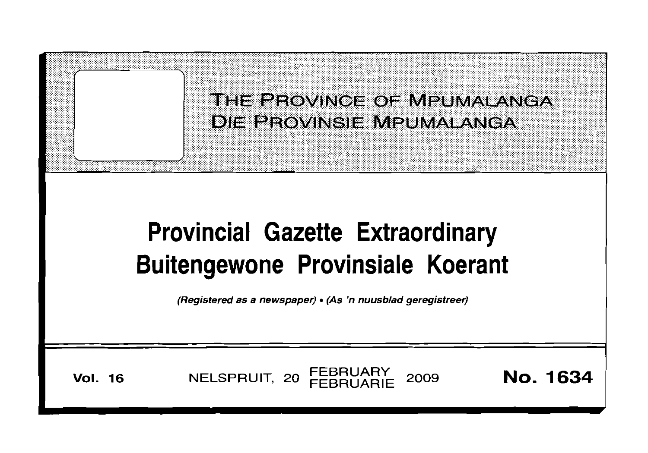|                                                                                                                                                   | THE PROVINCE OF MPUMALANGA<br>DIE BROVINSIE MPUMALANGA |          |  |  |  |
|---------------------------------------------------------------------------------------------------------------------------------------------------|--------------------------------------------------------|----------|--|--|--|
| <b>Provincial Gazette Extraordinary</b><br><b>Buitengewone Provinsiale Koerant</b><br>(Registered as a newspaper) • (As 'n nuusblad geregistreer) |                                                        |          |  |  |  |
| <b>Vol. 16</b>                                                                                                                                    | <b>FEBRUARY</b><br>NELSPRUIT, 20<br>2009               | No. 1634 |  |  |  |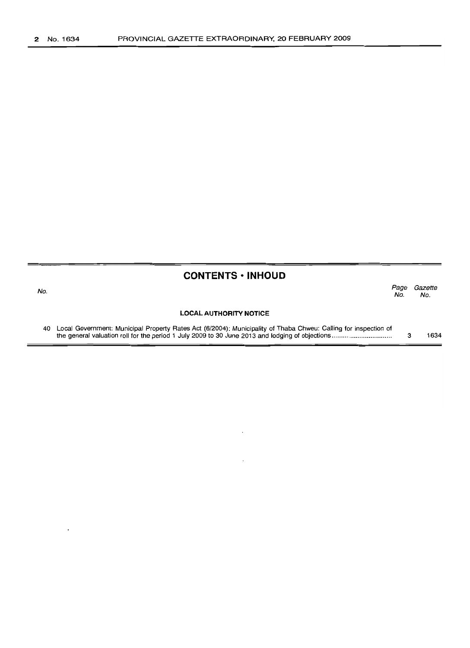#### **CONTENTS· INHOUD**

| No. |                                                                                                                    | Page<br>No. | Gazette<br>No. |
|-----|--------------------------------------------------------------------------------------------------------------------|-------------|----------------|
|     | <b>LOCAL AUTHORITY NOTICE</b>                                                                                      |             |                |
|     | 40 Local Government: Municipal Property Rates Act (6/2004): Municipality of Thaba Chweu: Calling for inspection of |             |                |

the general valuation roll for the period 1 July 2009 to 30 June 2013 and lodging of objections .. 3 1634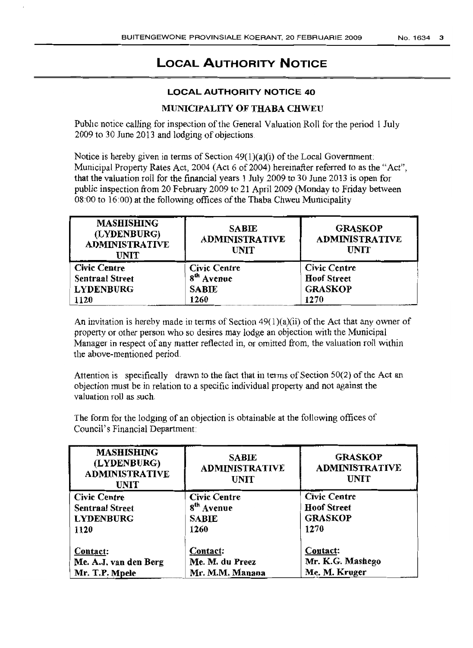# **LOCAL AUTHORITY NOTICE**

### **LOCAL AUTHORITY NOTICE 40**

## MUNICIPALITY OF THABA CHWEU

Public notice calling for inspection of the General Valuation Roll for the period 1 July 2009 to 30 June 2013 and lodging of objections

Notice is hereby given in terms of Section  $49(1)(a)(i)$  of the Local Government: Municipal Property Rates Act, 2004 (Act 6 of 2004) hereinafter referred to as the "Act", that the valuation roll for the financial years 1 July 2009 to 30 June 2013 is open for public inspection from 20 February 2009 to 21 April 2009 (Monday to Friday between  $08:00$  to  $16:00$ ) at the following offices of the Thaba Chweu Municipality

| <b>SABIE</b><br><b>ADMINISTRATIVE</b><br><b>UNIT</b> | <b>GRASKOP</b><br><b>ADMINISTRATIVE</b><br><b>UNIT</b> |
|------------------------------------------------------|--------------------------------------------------------|
| <b>Civic Centre</b>                                  | Civic Centre                                           |
|                                                      | <b>Hoof Street</b>                                     |
| <b>SABIE</b>                                         | <b>GRASKOP</b>                                         |
| 1260                                                 | 1270                                                   |
|                                                      | 8 <sup>th</sup> Avenue                                 |

An invitation is hereby made in terms of Section  $49(1)(a)(ii)$  of the Act that any owner of property or other person who so desires may lodge an objection with the Municipal Manager in respect of any matter reflected in, or omitted from, the valuation roll within the above-mentioned period

Attention is specifically drawn to the fact that in terms of Section  $50(2)$  of the Act an objection must be in relation to a specific individual property and not against the valuation roll as such.

The form for the lodging of an objection is obtainable at the following offices of Council's Financial Department

| <b>MASHISHING</b><br>(LYDENBURG)<br><b>ADMINISTRATIVE</b><br><b>UNIT</b> | <b>SABLE</b><br><b>ADMINISTRATIVE</b><br><b>UNIT</b> | <b>GRASKOP</b><br><b>ADMINISTRATIVE</b><br><b>UNIT</b> |
|--------------------------------------------------------------------------|------------------------------------------------------|--------------------------------------------------------|
| <b>Civic Centre</b>                                                      | <b>Civic Centre</b>                                  | <b>Civic Centre</b>                                    |
| <b>Sentraal Street</b>                                                   | 8 <sup>th</sup> Avenue                               | <b>Hoof Street</b>                                     |
| <b>LYDENBURG</b>                                                         | <b>SABIE</b>                                         | <b>GRASKOP</b>                                         |
| 1120                                                                     | 1260                                                 | 1270                                                   |
| Contact:                                                                 | Contact:                                             | Contact:                                               |
| Me. A.J. van den Berg                                                    | Me. M. du Preez                                      | Mr. K.G. Mashego                                       |
| Mr. T.P. Mpele                                                           | Mr. M.M. Manana                                      | Me. M. Kruger                                          |